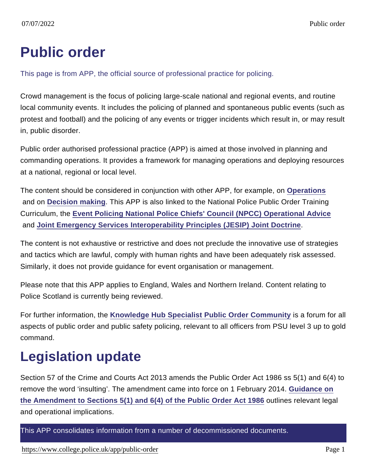## Public order

This page is from APP, the official source of professional practice for policing.

Crowd management is the focus of policing large-scale national and regional events, and routine local community events. It includes the policing of planned and spontaneous public events (such as protest and football) and the policing of any events or trigger incidents which result in, or may result in, public disorder.

Public order authorised professional practice (APP) is aimed at those involved in planning and commanding operations. It provides a framework for managing operations and deploying resources at a national, regional or local level.

The content should be considered in conjunction with other APP, for example, on [Operations](https://www.app.college.police.uk/app-content/operations/) and on [Decision making](https://www.app.college.police.uk/app-content/the-national-decision-model/?s=) . This APP is also linked to the National Police Public Order Training Curriculum, the [Event Policing National Police Chiefs' Council \(NPCC\) Operational Advice](https://library.college.police.uk/docs/appref/Event-Policing-NPCC-Operational-Advice-v1.0-Final.pdf) and [Joint Emergency Services Interoperability Principles \(JESIP\) Joint Doctrine](https://jesip.org.uk/what-is-the-joint-doctrine) .

The content is not exhaustive or restrictive and does not preclude the innovative use of strategies and tactics which are lawful, comply with human rights and have been adequately risk assessed. Similarly, it does not provide guidance for event organisation or management.

Please note that this APP applies to England, Wales and Northern Ireland. Content relating to Police Scotland is currently being reviewed.

For further information, the [Knowledge Hub Specialist Public Order Community](https://knowledgehub.group/web/specialist-operational-support-public-order-public-safety) is a forum for all aspects of public order and public safety policing, relevant to all officers from PSU level 3 up to gold command.

## Legislation update

Section 57 of the Crime and Courts Act 2013 amends the Public Order Act 1986 ss 5(1) and 6(4) to remove the word 'insulting'. The amendment came into force on 1 February 2014. [Guidance on](https://library.college.police.uk/docs/APPREF/Guidance-amendment-public-order-2013.pdf) the Amendment to Sections  $5(1)$  and  $6(4)$  of the Public Order Act 1986 outlines relevant legal and operational implications.

This APP consolidates information from a number of decommissioned documents.